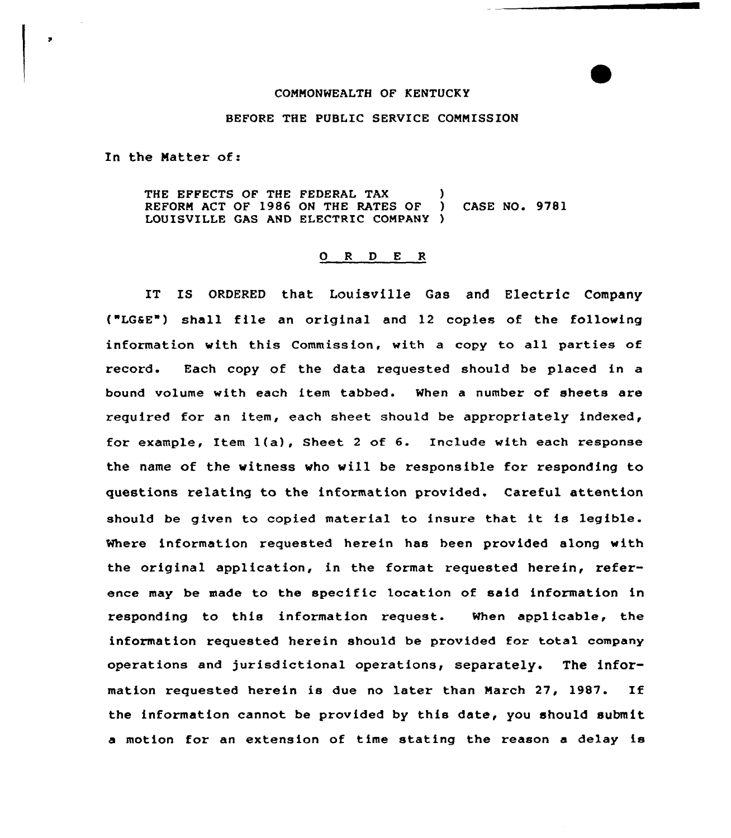## CONNONWEALTH OF KENTUCKY

## BEFORE THE PUBLIC SERVICE CONNISSION

In the Natter of:

THE EFFECTS OF THE FEDERAL TAX (1)<br>REFORM ACT OF 1986 ON THE RATES OF (1) REFORM ACT OF 1986 ON THE RATES OF ) CASE NO. 9781 LOUISVILLE GAS AND ELECTRIC COMPANY )

## 0 <sup>R</sup> <sup>D</sup> E <sup>R</sup>

IT IS ORDERED that Louisville Gas and Electric Company ("LGSE") shall file an original and 12 copies of the following information with this Commission, with a copy to all parties of record. Each copy of the data requested should be placed in a bound volume with each item tabbed. When a number of sheets are required for an item, each sheet should be appropriately indexed, for example, Item l(a), Sheet <sup>2</sup> of 6. Include with each response the name of the witness vho will be responsible for responding to questions relating to the information provided. Careful attention should be given to copied material to insure that it is legible. Where information requested herein has been provided along with the original application, in the format requested herein, reference may be made to the specific location of said information in responding to this information request. When applicable, the information requested herein should be provided foz total company operations and jurisdictional operations, separately. The information requested herein is due no later than March 27, 1987. If the information cannot be provided by this date, you should submit a motion for an extension of time stating the reason a delay is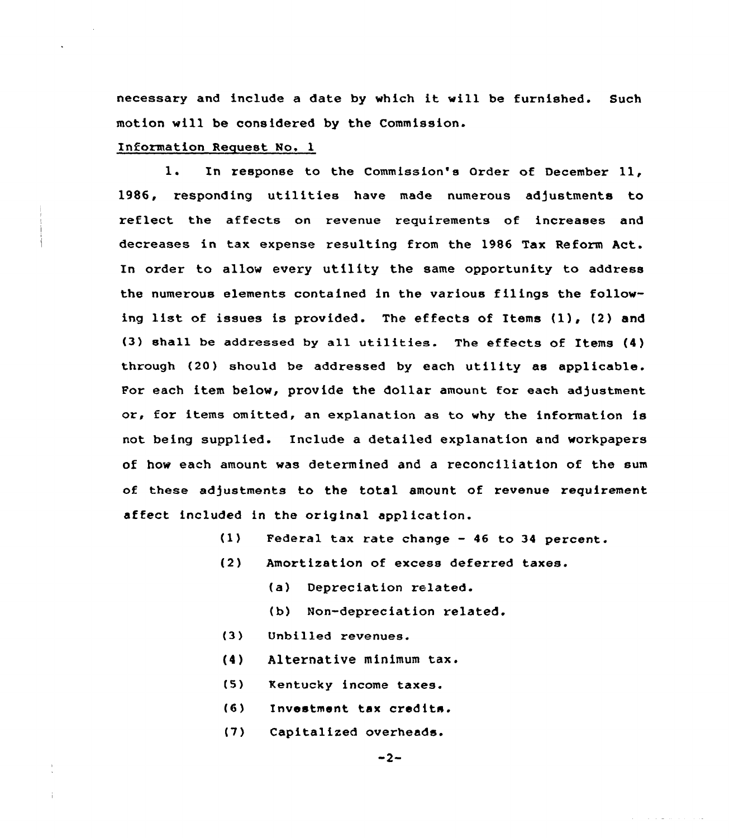necessary and include <sup>a</sup> date by which it will be furnished. Such motion will be considered by the Commission.

## Information Request No. 1

1. In response to the Commission's Order of December 11, 1986, responding utilities have made numerous adjustments to reflect the affects on revenue requirements of increases and decreases in tax expense resulting from the 1986 Tax Reform Act. In order to allow every utility the same opportunity to address the numerous elements contained in the various filings the following list of issues is provided. The effects of Items (1), (2) and (3) shall be addressed by all utilities. The effects of Items (4) through (20) should be addressed by each utility as applicable. For each item below, provide the dollar amount for each adjustment or, for items omitted, an explanation as to why the information is not being supplied. Include a detailed explanation and workpapers of how each amount was determined and a reconciliation of the sum of these adjustments to the total amount of revenue requirement affect included in the original application.

- $(1)$ Federal tax rate change — 46 to 34 percent.
- (2) Amortization of excess deferred taxes.
	- (a) Depreciation related.
	- (b) Non-depreciation related.
- (3) Unbilled revenues.
- (4 ) Alternative minimum tax.
- $(5)$ Kentucky income taxes.
- (6) Investment tax credits.
- (7) Capitalized overheads.

المداري والمستنقل والمستورة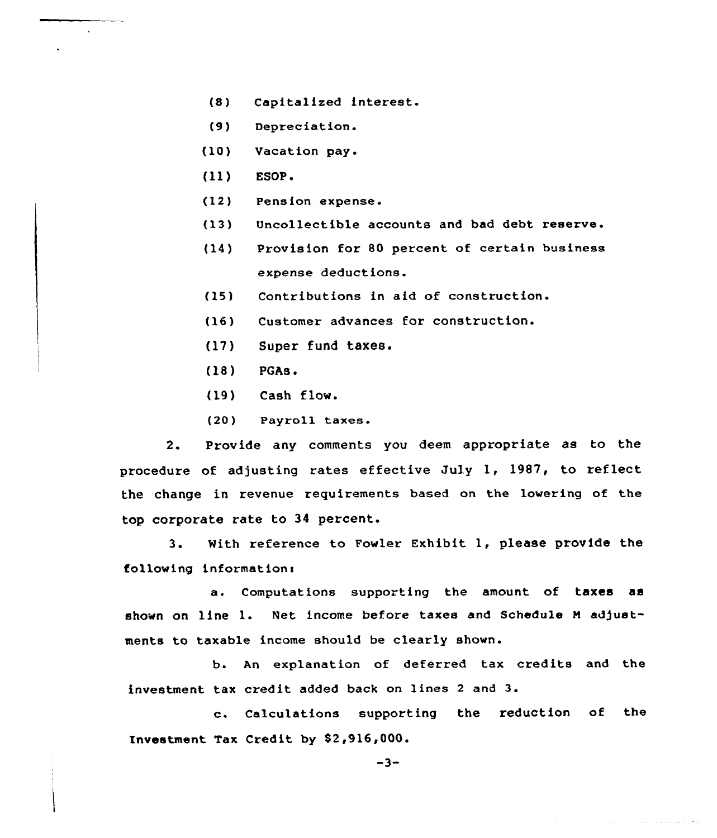- (8) Capitalized interest.
- (9) Depreciation.
- (103 Vacation pay.
- (11} ESOP.

 $\ddot{\phantom{a}}$ 

- (12) Pension expense.
- (13) Uncollectible accounts and bad debt reserve.
- {14) Provision for 80 percent of certain business expense deductions.
- (15) Contributions in aid of construction.
- (16) Customer advances for construction.
- {17) Super fund taxes.
- (18) PGAs.
- (19) Cash flow.
- (20) Payroll taxes.

2. Provide any comments you deem appropriate as to the procedure of adjusting rates effective July 1, 1987, to reflect the change in revenue requirements based on the lowering of the top corporate rate to 34 percent.

3. With reference to Fowler Exhibit 1, please provide the following information:

a. Computations supporting the amount of taxes as shown on line 1. Net income before taxes and Schedule <sup>N</sup> adjustments to taxable income should be clearly shown.

b. An explanation of deferred tax credits and the investment tax credit added back on lines <sup>2</sup> and 3.

c. Calculations supporting the reduction of the Investment Tax Credit by \$2,916,000.

agreement and all the second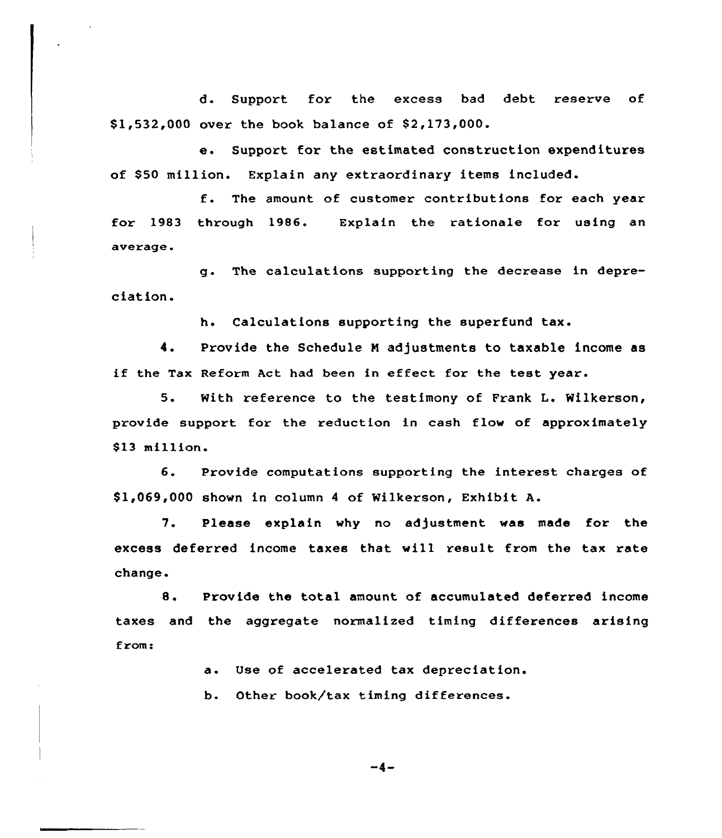d. Support for the excess bad debt reserve of \$1,532,000 over the book balance of \$2,173,000.

e. Support for the estimated construction expenditures of \$50 million. Explain any extraordinary items included.

f. The amount of customer contributions for each year for 1983 through 1986. Explain the rationale for using an average.

g. The calculations supporting the decrease in depreciation.

h. Calculations supporting the superfund tax.

4. Provide the Schedule <sup>N</sup> adjustments to taxable income as if the Tax Reform Act had been in effect for the test year.

5. With reference to the testimony of Frank L. Wilkerson, provide support for the reduction in cash flow of approximately \$13 million.

6. Provide computations supporting the interest charges of \$ 1,069,000 shown in column <sup>4</sup> of Wilkerson, Exhibit A.

7. Please explain why no adjustment was made for the excess deferred income taxes that will result from the tax rate change.

8. Provide the total amount of accumulated deferred income taxes and the aggregate normalized timing dif ferences arising from!

a. Use of accelerated tax depreciation.

b. Other book/tax timing differences.

 $-4-$